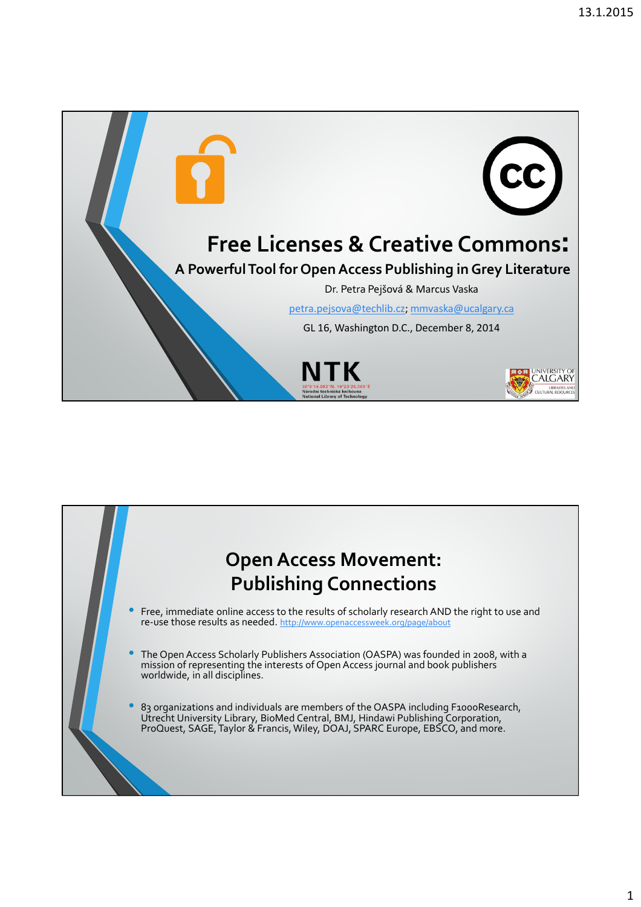

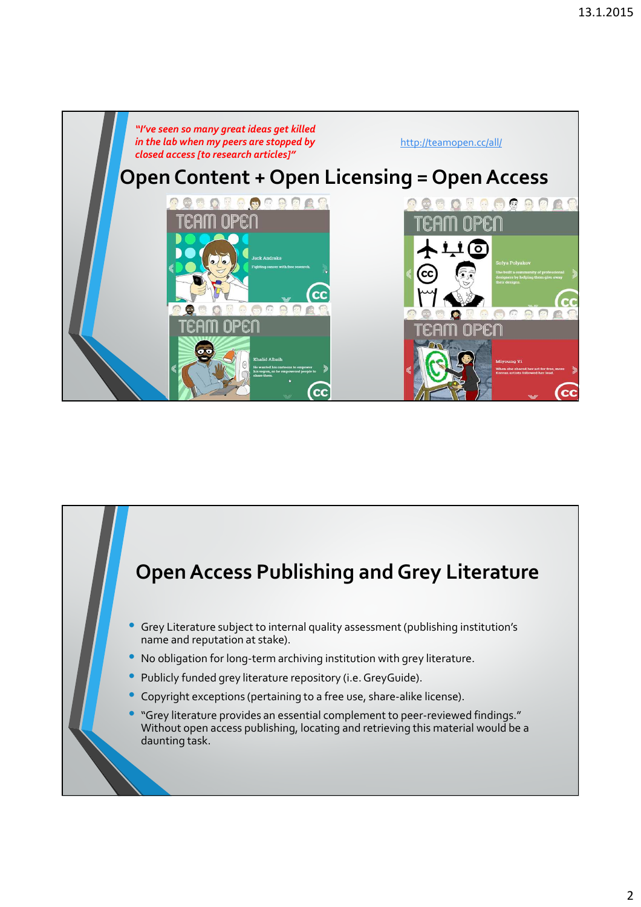

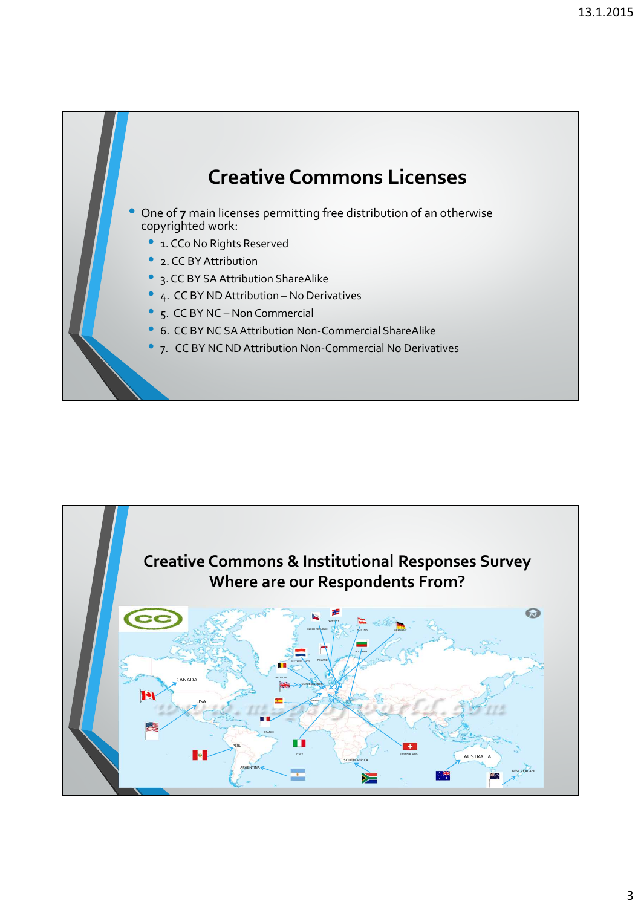

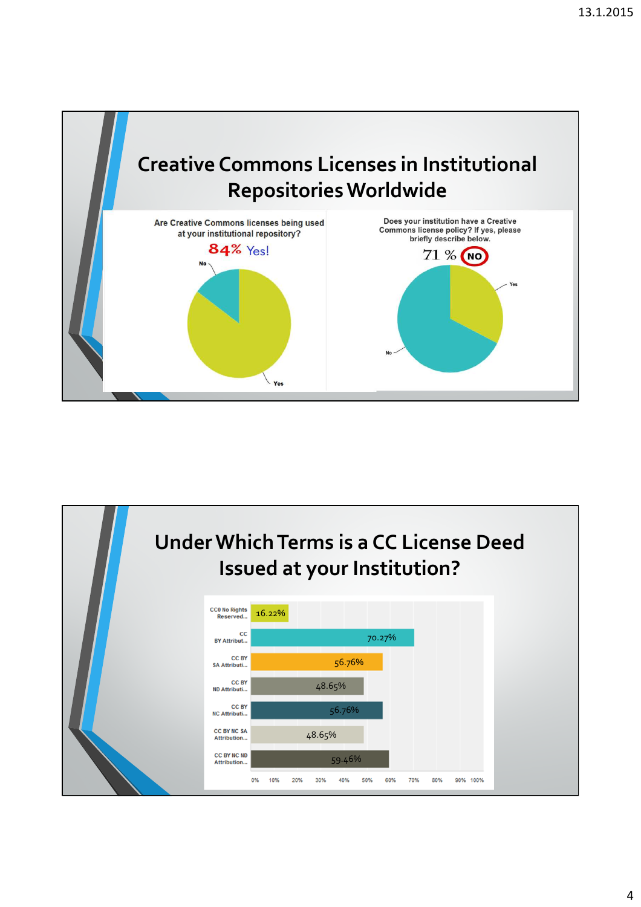

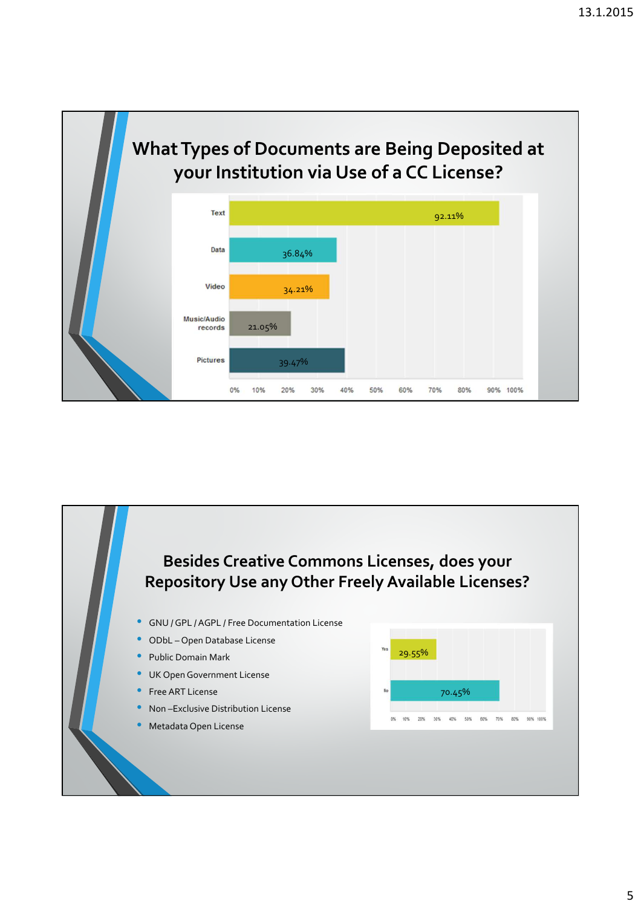